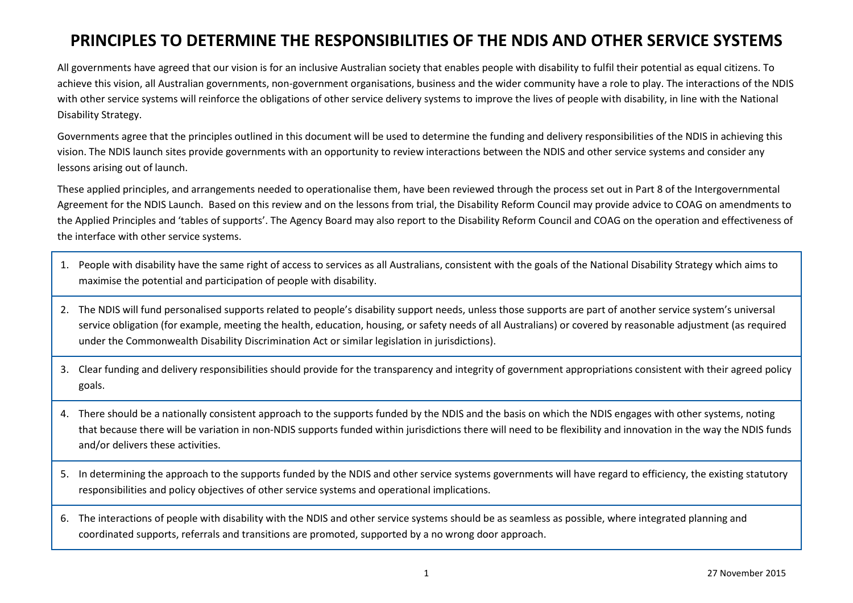# **PRINCIPLES TO DETERMINE THE RESPONSIBILITIES OF THE NDIS AND OTHER SERVICE SYSTEMS**

All governments have agreed that our vision is for an inclusive Australian society that enables people with disability to fulfil their potential as equal citizens. To achieve this vision, all Australian governments, non-government organisations, business and the wider community have a role to play. The interactions of the NDIS with other service systems will reinforce the obligations of other service delivery systems to improve the lives of people with disability, in line with the National Disability Strategy.

Governments agree that the principles outlined in this document will be used to determine the funding and delivery responsibilities of the NDIS in achieving this vision. The NDIS launch sites provide governments with an opportunity to review interactions between the NDIS and other service systems and consider any lessons arising out of launch.

These applied principles, and arrangements needed to operationalise them, have been reviewed through the process set out in Part 8 of the Intergovernmental Agreement for the NDIS Launch. Based on this review and on the lessons from trial, the Disability Reform Council may provide advice to COAG on amendments to the Applied Principles and 'tables of supports'. The Agency Board may also report to the Disability Reform Council and COAG on the operation and effectiveness of the interface with other service systems.

- 1. People with disability have the same right of access to services as all Australians, consistent with the goals of the National Disability Strategy which aims to maximise the potential and participation of people with disability.
- 2. The NDIS will fund personalised supports related to people's disability support needs, unless those supports are part of another service system's universal service obligation (for example, meeting the health, education, housing, or safety needs of all Australians) or covered by reasonable adjustment (as required under the Commonwealth Disability Discrimination Act or similar legislation in jurisdictions).
- 3. Clear funding and delivery responsibilities should provide for the transparency and integrity of government appropriations consistent with their agreed policy goals.
- 4. There should be a nationally consistent approach to the supports funded by the NDIS and the basis on which the NDIS engages with other systems, noting that because there will be variation in non-NDIS supports funded within jurisdictions there will need to be flexibility and innovation in the way the NDIS funds and/or delivers these activities.
- 5. In determining the approach to the supports funded by the NDIS and other service systems governments will have regard to efficiency, the existing statutory responsibilities and policy objectives of other service systems and operational implications.
- 6. The interactions of people with disability with the NDIS and other service systems should be as seamless as possible, where integrated planning and coordinated supports, referrals and transitions are promoted, supported by a no wrong door approach.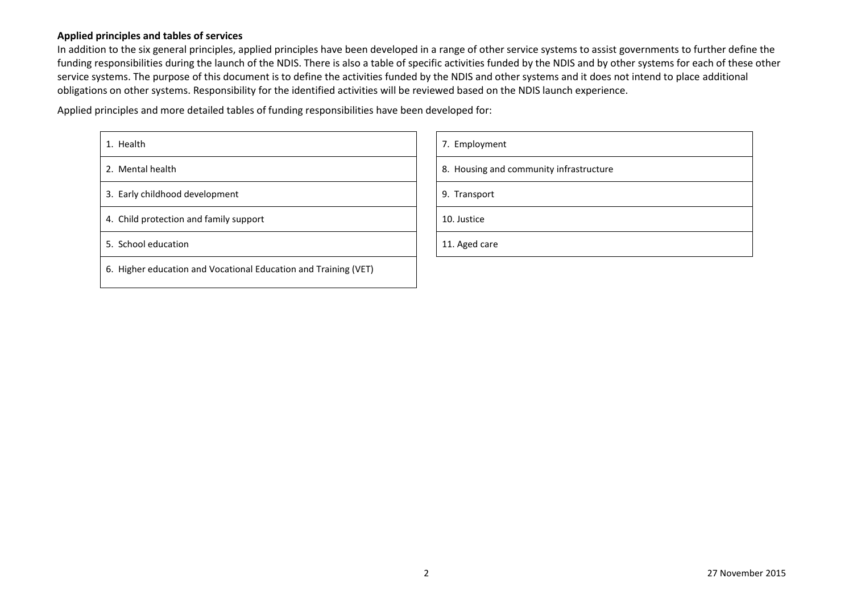#### **Applied principles and tables of services**

In addition to the six general principles, applied principles have been developed in a range of other service systems to assist governments to further define the funding responsibilities during the launch of the NDIS. There is also a table of specific activities funded by the NDIS and by other systems for each of these other service systems. The purpose of this document is to define the activities funded by the NDIS and other systems and it does not intend to place additional obligations on other systems. Responsibility for the identified activities will be reviewed based on the NDIS launch experience.

Applied principles and more detailed tables of funding responsibilities have been developed for:

| 1. Health                                                       | 7. Employment                           |
|-----------------------------------------------------------------|-----------------------------------------|
| 2. Mental health                                                | 8. Housing and community infrastructure |
| 3. Early childhood development                                  | 9. Transport                            |
| 4. Child protection and family support                          | 10. Justice                             |
| 5. School education                                             | 11. Aged care                           |
| 6. Higher education and Vocational Education and Training (VET) |                                         |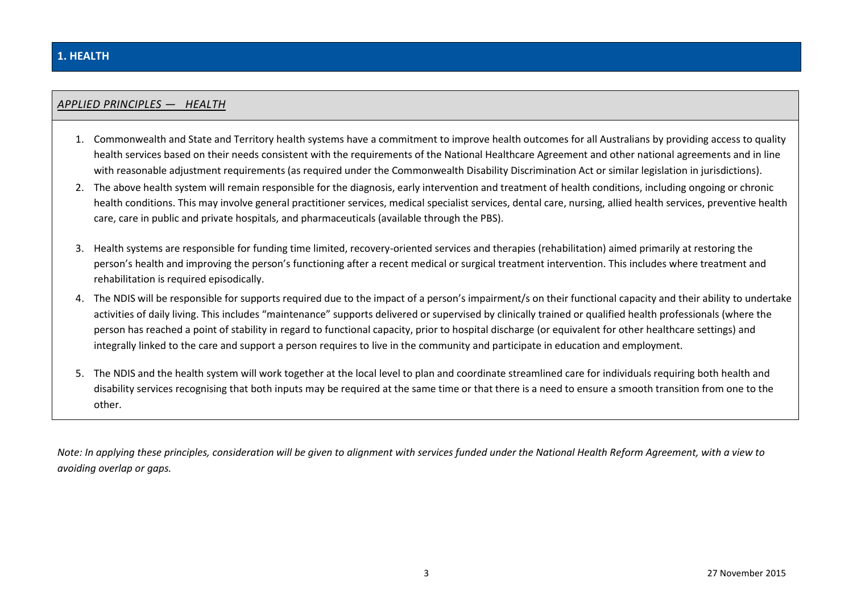# **1. HEALTH**

#### *APPLIED PRINCIPLES — HEALTH*

- 1. Commonwealth and State and Territory health systems have a commitment to improve health outcomes for all Australians by providing access to quality health services based on their needs consistent with the requirements of the National Healthcare Agreement and other national agreements and in line with reasonable adjustment requirements (as required under the Commonwealth Disability Discrimination Act or similar legislation in jurisdictions).
- 2. The above health system will remain responsible for the diagnosis, early intervention and treatment of health conditions, including ongoing or chronic health conditions. This may involve general practitioner services, medical specialist services, dental care, nursing, allied health services, preventive health care, care in public and private hospitals, and pharmaceuticals (available through the PBS).
- 3. Health systems are responsible for funding time limited, recovery-oriented services and therapies (rehabilitation) aimed primarily at restoring the person's health and improving the person's functioning after a recent medical or surgical treatment intervention. This includes where treatment and rehabilitation is required episodically.
- 4. The NDIS will be responsible for supports required due to the impact of a person's impairment/s on their functional capacity and their ability to undertake activities of daily living. This includes "maintenance" supports delivered or supervised by clinically trained or qualified health professionals (where the person has reached a point of stability in regard to functional capacity, prior to hospital discharge (or equivalent for other healthcare settings) and integrally linked to the care and support a person requires to live in the community and participate in education and employment.
- 5. The NDIS and the health system will work together at the local level to plan and coordinate streamlined care for individuals requiring both health and disability services recognising that both inputs may be required at the same time or that there is a need to ensure a smooth transition from one to the other.

*Note: In applying these principles, consideration will be given to alignment with services funded under the National Health Reform Agreement, with a view to avoiding overlap or gaps.*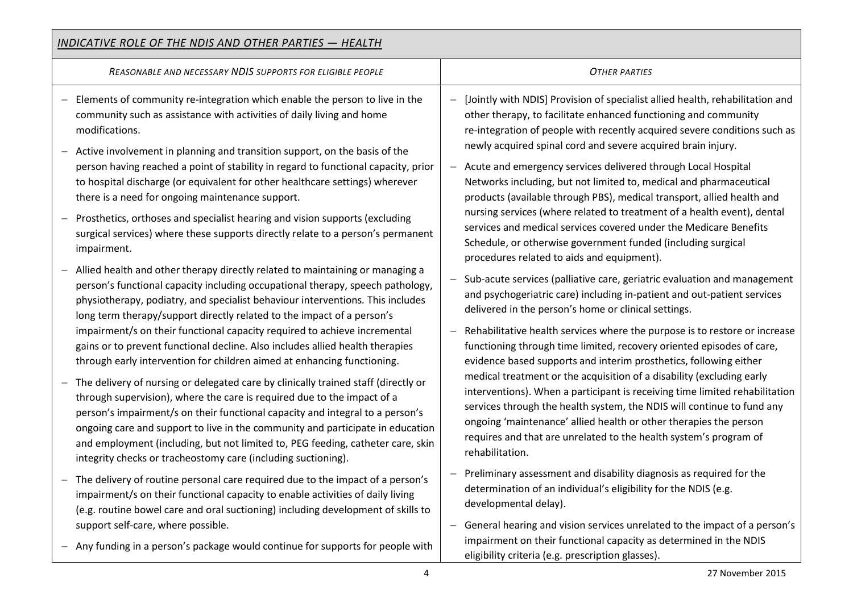| <b>INDICATIVE ROLE OF THE NDIS AND OTHER PARTIES - HEALTH</b>                                                                                                                                                                                                                                                                                                                                                                                                                        |                                                                                                                                                                                                                                                                                                                                                                                             |  |
|--------------------------------------------------------------------------------------------------------------------------------------------------------------------------------------------------------------------------------------------------------------------------------------------------------------------------------------------------------------------------------------------------------------------------------------------------------------------------------------|---------------------------------------------------------------------------------------------------------------------------------------------------------------------------------------------------------------------------------------------------------------------------------------------------------------------------------------------------------------------------------------------|--|
| REASONABLE AND NECESSARY NDIS SUPPORTS FOR ELIGIBLE PEOPLE                                                                                                                                                                                                                                                                                                                                                                                                                           | <b>OTHER PARTIES</b>                                                                                                                                                                                                                                                                                                                                                                        |  |
| Elements of community re-integration which enable the person to live in the<br>$\overline{\phantom{0}}$<br>community such as assistance with activities of daily living and home<br>modifications.<br>Active involvement in planning and transition support, on the basis of the                                                                                                                                                                                                     | [Jointly with NDIS] Provision of specialist allied health, rehabilitation and<br>other therapy, to facilitate enhanced functioning and community<br>re-integration of people with recently acquired severe conditions such as<br>newly acquired spinal cord and severe acquired brain injury.                                                                                               |  |
| person having reached a point of stability in regard to functional capacity, prior<br>to hospital discharge (or equivalent for other healthcare settings) wherever<br>there is a need for ongoing maintenance support.                                                                                                                                                                                                                                                               | - Acute and emergency services delivered through Local Hospital<br>Networks including, but not limited to, medical and pharmaceutical<br>products (available through PBS), medical transport, allied health and                                                                                                                                                                             |  |
| Prosthetics, orthoses and specialist hearing and vision supports (excluding<br>surgical services) where these supports directly relate to a person's permanent<br>impairment.                                                                                                                                                                                                                                                                                                        | nursing services (where related to treatment of a health event), dental<br>services and medical services covered under the Medicare Benefits<br>Schedule, or otherwise government funded (including surgical<br>procedures related to aids and equipment).                                                                                                                                  |  |
| Allied health and other therapy directly related to maintaining or managing a<br>person's functional capacity including occupational therapy, speech pathology,<br>physiotherapy, podiatry, and specialist behaviour interventions. This includes<br>long term therapy/support directly related to the impact of a person's                                                                                                                                                          | - Sub-acute services (palliative care, geriatric evaluation and management<br>and psychogeriatric care) including in-patient and out-patient services<br>delivered in the person's home or clinical settings.                                                                                                                                                                               |  |
| impairment/s on their functional capacity required to achieve incremental<br>gains or to prevent functional decline. Also includes allied health therapies<br>through early intervention for children aimed at enhancing functioning.                                                                                                                                                                                                                                                | Rehabilitative health services where the purpose is to restore or increase<br>$\overline{\phantom{0}}$<br>functioning through time limited, recovery oriented episodes of care,<br>evidence based supports and interim prosthetics, following either                                                                                                                                        |  |
| The delivery of nursing or delegated care by clinically trained staff (directly or<br>through supervision), where the care is required due to the impact of a<br>person's impairment/s on their functional capacity and integral to a person's<br>ongoing care and support to live in the community and participate in education<br>and employment (including, but not limited to, PEG feeding, catheter care, skin<br>integrity checks or tracheostomy care (including suctioning). | medical treatment or the acquisition of a disability (excluding early<br>interventions). When a participant is receiving time limited rehabilitation<br>services through the health system, the NDIS will continue to fund any<br>ongoing 'maintenance' allied health or other therapies the person<br>requires and that are unrelated to the health system's program of<br>rehabilitation. |  |
| - The delivery of routine personal care required due to the impact of a person's<br>impairment/s on their functional capacity to enable activities of daily living<br>(e.g. routine bowel care and oral suctioning) including development of skills to                                                                                                                                                                                                                               | - Preliminary assessment and disability diagnosis as required for the<br>determination of an individual's eligibility for the NDIS (e.g.<br>developmental delay).                                                                                                                                                                                                                           |  |
| support self-care, where possible.<br>Any funding in a person's package would continue for supports for people with                                                                                                                                                                                                                                                                                                                                                                  | General hearing and vision services unrelated to the impact of a person's<br>$-$<br>impairment on their functional capacity as determined in the NDIS<br>eligibility criteria (e.g. prescription glasses).                                                                                                                                                                                  |  |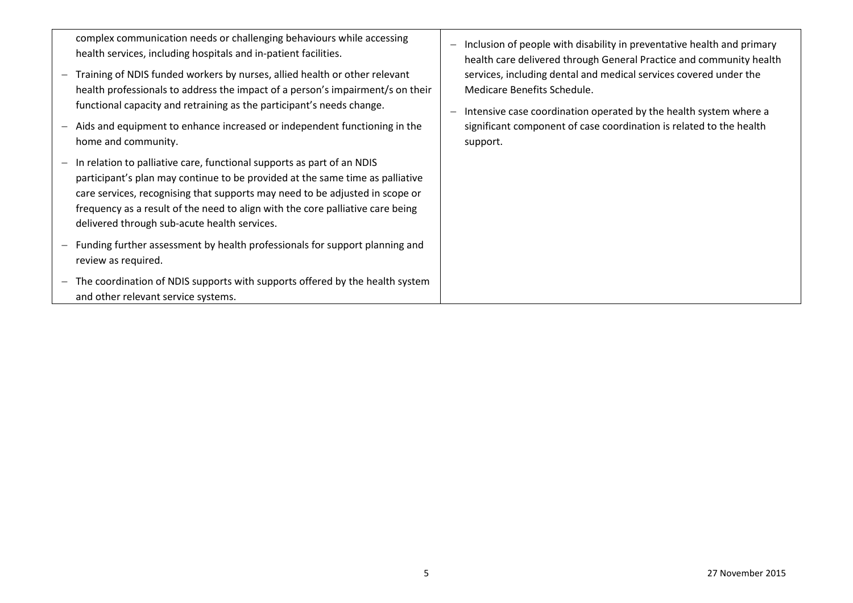| complex communication needs or challenging behaviours while accessing<br>health services, including hospitals and in-patient facilities.                                                                                                                                                                                                                                  | Inclusion of people with disability in preventative health and primary<br>health care delivered through General Practice and community health                                                                                                            |
|---------------------------------------------------------------------------------------------------------------------------------------------------------------------------------------------------------------------------------------------------------------------------------------------------------------------------------------------------------------------------|----------------------------------------------------------------------------------------------------------------------------------------------------------------------------------------------------------------------------------------------------------|
| - Training of NDIS funded workers by nurses, allied health or other relevant<br>health professionals to address the impact of a person's impairment/s on their<br>functional capacity and retraining as the participant's needs change.<br>Aids and equipment to enhance increased or independent functioning in the<br>home and community.                               | services, including dental and medical services covered under the<br>Medicare Benefits Schedule.<br>Intensive case coordination operated by the health system where a<br>significant component of case coordination is related to the health<br>support. |
| In relation to palliative care, functional supports as part of an NDIS<br>participant's plan may continue to be provided at the same time as palliative<br>care services, recognising that supports may need to be adjusted in scope or<br>frequency as a result of the need to align with the core palliative care being<br>delivered through sub-acute health services. |                                                                                                                                                                                                                                                          |
| - Funding further assessment by health professionals for support planning and<br>review as required.                                                                                                                                                                                                                                                                      |                                                                                                                                                                                                                                                          |
| - The coordination of NDIS supports with supports offered by the health system<br>and other relevant service systems.                                                                                                                                                                                                                                                     |                                                                                                                                                                                                                                                          |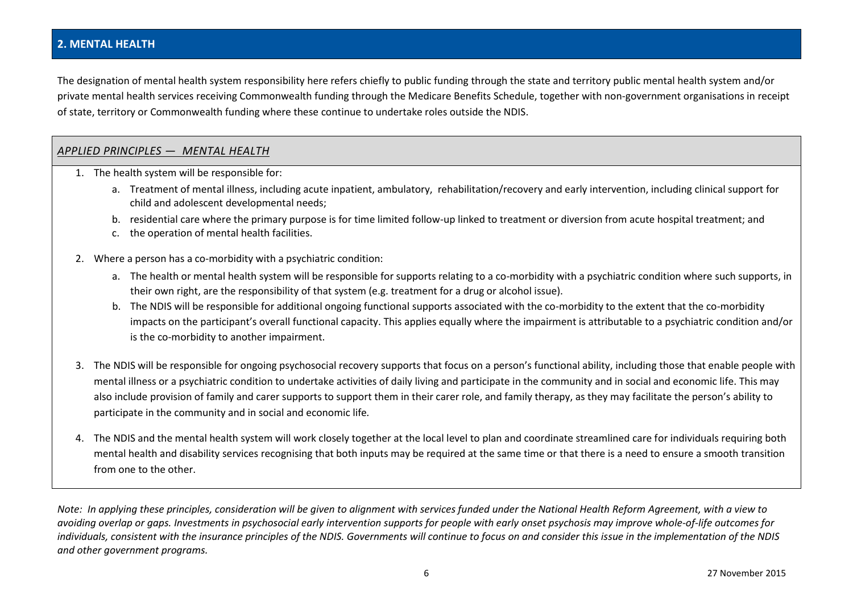#### **2. MENTAL HEALTH**

The designation of mental health system responsibility here refers chiefly to public funding through the state and territory public mental health system and/or private mental health services receiving Commonwealth funding through the Medicare Benefits Schedule, together with non-government organisations in receipt of state, territory or Commonwealth funding where these continue to undertake roles outside the NDIS.

#### *APPLIED PRINCIPLES — MENTAL HEALTH*

- 1. The health system will be responsible for:
	- a. Treatment of mental illness, including acute inpatient, ambulatory, rehabilitation/recovery and early intervention, including clinical support for child and adolescent developmental needs;
	- b. residential care where the primary purpose is for time limited follow-up linked to treatment or diversion from acute hospital treatment; and
	- c. the operation of mental health facilities.
- 2. Where a person has a co-morbidity with a psychiatric condition:
	- a. The health or mental health system will be responsible for supports relating to a co-morbidity with a psychiatric condition where such supports, in their own right, are the responsibility of that system (e.g. treatment for a drug or alcohol issue).
	- b. The NDIS will be responsible for additional ongoing functional supports associated with the co-morbidity to the extent that the co-morbidity impacts on the participant's overall functional capacity. This applies equally where the impairment is attributable to a psychiatric condition and/or is the co-morbidity to another impairment.
- 3. The NDIS will be responsible for ongoing psychosocial recovery supports that focus on a person's functional ability, including those that enable people with mental illness or a psychiatric condition to undertake activities of daily living and participate in the community and in social and economic life. This may also include provision of family and carer supports to support them in their carer role, and family therapy, as they may facilitate the person's ability to participate in the community and in social and economic life*.*
- 4. The NDIS and the mental health system will work closely together at the local level to plan and coordinate streamlined care for individuals requiring both mental health and disability services recognising that both inputs may be required at the same time or that there is a need to ensure a smooth transition from one to the other.

*Note: In applying these principles, consideration will be given to alignment with services funded under the National Health Reform Agreement, with a view to avoiding overlap or gaps. Investments in psychosocial early intervention supports for people with early onset psychosis may improve whole-of-life outcomes for individuals, consistent with the insurance principles of the NDIS. Governments will continue to focus on and consider this issue in the implementation of the NDIS and other government programs.*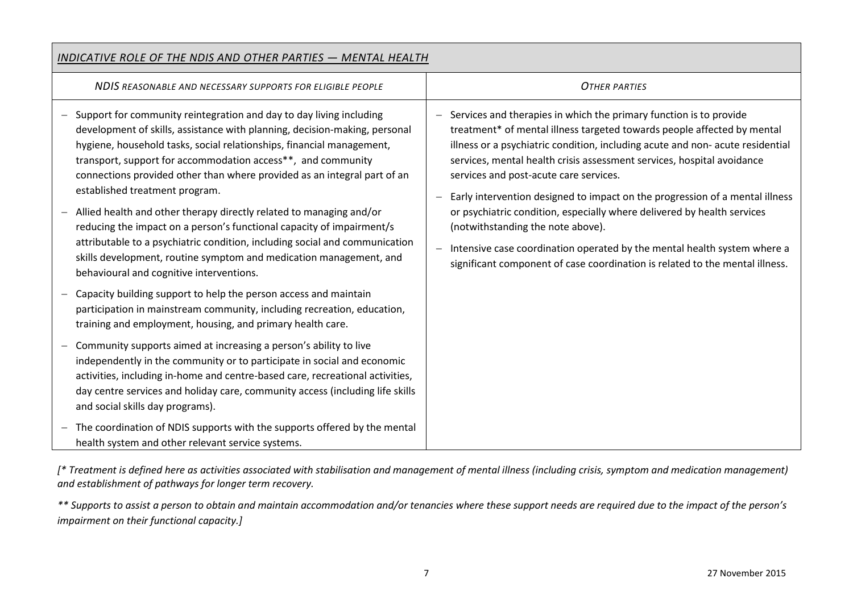| INDICATIVE ROLE OF THE NDIS AND OTHER PARTIES - MENTAL HEALTH                                                                                                                                                                                                                                                                                                                                                                                                                                                                                                                                                                                                                                                                                             |                                                                                                                                                                                                                                                                                                                                                                                                                                                                                                                                                                                                                                                                                                                  |
|-----------------------------------------------------------------------------------------------------------------------------------------------------------------------------------------------------------------------------------------------------------------------------------------------------------------------------------------------------------------------------------------------------------------------------------------------------------------------------------------------------------------------------------------------------------------------------------------------------------------------------------------------------------------------------------------------------------------------------------------------------------|------------------------------------------------------------------------------------------------------------------------------------------------------------------------------------------------------------------------------------------------------------------------------------------------------------------------------------------------------------------------------------------------------------------------------------------------------------------------------------------------------------------------------------------------------------------------------------------------------------------------------------------------------------------------------------------------------------------|
| NDIS REASONABLE AND NECESSARY SUPPORTS FOR ELIGIBLE PEOPLE                                                                                                                                                                                                                                                                                                                                                                                                                                                                                                                                                                                                                                                                                                | <b>OTHER PARTIES</b>                                                                                                                                                                                                                                                                                                                                                                                                                                                                                                                                                                                                                                                                                             |
| Support for community reintegration and day to day living including<br>development of skills, assistance with planning, decision-making, personal<br>hygiene, household tasks, social relationships, financial management,<br>transport, support for accommodation access**, and community<br>connections provided other than where provided as an integral part of an<br>established treatment program.<br>Allied health and other therapy directly related to managing and/or<br>reducing the impact on a person's functional capacity of impairment/s<br>attributable to a psychiatric condition, including social and communication<br>skills development, routine symptom and medication management, and<br>behavioural and cognitive interventions. | - Services and therapies in which the primary function is to provide<br>treatment* of mental illness targeted towards people affected by mental<br>illness or a psychiatric condition, including acute and non-acute residential<br>services, mental health crisis assessment services, hospital avoidance<br>services and post-acute care services.<br>Early intervention designed to impact on the progression of a mental illness<br>or psychiatric condition, especially where delivered by health services<br>(notwithstanding the note above).<br>Intensive case coordination operated by the mental health system where a<br>significant component of case coordination is related to the mental illness. |
| Capacity building support to help the person access and maintain<br>participation in mainstream community, including recreation, education,<br>training and employment, housing, and primary health care.                                                                                                                                                                                                                                                                                                                                                                                                                                                                                                                                                 |                                                                                                                                                                                                                                                                                                                                                                                                                                                                                                                                                                                                                                                                                                                  |
| Community supports aimed at increasing a person's ability to live<br>independently in the community or to participate in social and economic<br>activities, including in-home and centre-based care, recreational activities,<br>day centre services and holiday care, community access (including life skills<br>and social skills day programs).                                                                                                                                                                                                                                                                                                                                                                                                        |                                                                                                                                                                                                                                                                                                                                                                                                                                                                                                                                                                                                                                                                                                                  |
| The coordination of NDIS supports with the supports offered by the mental<br>health system and other relevant service systems.                                                                                                                                                                                                                                                                                                                                                                                                                                                                                                                                                                                                                            |                                                                                                                                                                                                                                                                                                                                                                                                                                                                                                                                                                                                                                                                                                                  |

*[\* Treatment is defined here as activities associated with stabilisation and management of mental illness (including crisis, symptom and medication management) and establishment of pathways for longer term recovery.*

*\*\* Supports to assist a person to obtain and maintain accommodation and/or tenancies where these support needs are required due to the impact of the person's impairment on their functional capacity.]*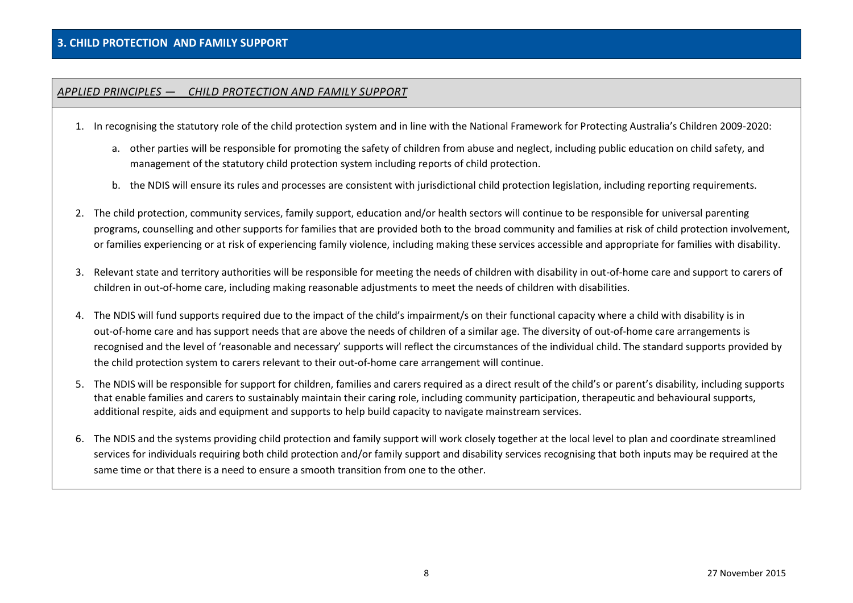## *APPLIED PRINCIPLES — CHILD PROTECTION AND FAMILY SUPPORT*

- 1. In recognising the statutory role of the child protection system and in line with the National Framework for Protecting Australia's Children 2009-2020:
	- a. other parties will be responsible for promoting the safety of children from abuse and neglect, including public education on child safety, and management of the statutory child protection system including reports of child protection.
	- b. the NDIS will ensure its rules and processes are consistent with jurisdictional child protection legislation, including reporting requirements.
- 2. The child protection, community services, family support, education and/or health sectors will continue to be responsible for universal parenting programs, counselling and other supports for families that are provided both to the broad community and families at risk of child protection involvement, or families experiencing or at risk of experiencing family violence, including making these services accessible and appropriate for families with disability.
- 3. Relevant state and territory authorities will be responsible for meeting the needs of children with disability in out-of-home care and support to carers of children in out-of-home care, including making reasonable adjustments to meet the needs of children with disabilities.
- 4. The NDIS will fund supports required due to the impact of the child's impairment/s on their functional capacity where a child with disability is in out-of-home care and has support needs that are above the needs of children of a similar age. The diversity of out-of-home care arrangements is recognised and the level of 'reasonable and necessary' supports will reflect the circumstances of the individual child. The standard supports provided by the child protection system to carers relevant to their out-of-home care arrangement will continue.
- 5. The NDIS will be responsible for support for children, families and carers required as a direct result of the child's or parent's disability, including supports that enable families and carers to sustainably maintain their caring role, including community participation, therapeutic and behavioural supports, additional respite, aids and equipment and supports to help build capacity to navigate mainstream services.
- 6. The NDIS and the systems providing child protection and family support will work closely together at the local level to plan and coordinate streamlined services for individuals requiring both child protection and/or family support and disability services recognising that both inputs may be required at the same time or that there is a need to ensure a smooth transition from one to the other.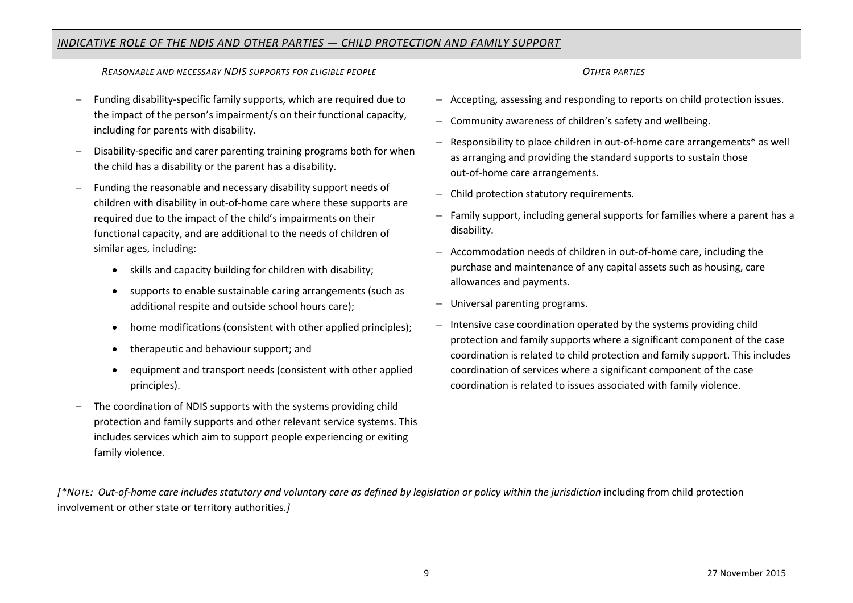## *INDICATIVE ROLE OF THE NDIS AND OTHER PARTIES — CHILD PROTECTION AND FAMILY SUPPORT*

| REASONABLE AND NECESSARY NDIS SUPPORTS FOR ELIGIBLE PEOPLE                                                                                                                                                                                                                                                                                                                                                                                                                                                                                                                                                                                                                                                                                                                                                                                                                                                                                                                                                                                                                                                                                                                                                                  | <b>OTHER PARTIES</b>                                                                                                                                                                                                                                                                                                                                                                                                                                                                                                                                                                                                                                                                                                                                                                                                                                                                                                                                                                                                                                                         |
|-----------------------------------------------------------------------------------------------------------------------------------------------------------------------------------------------------------------------------------------------------------------------------------------------------------------------------------------------------------------------------------------------------------------------------------------------------------------------------------------------------------------------------------------------------------------------------------------------------------------------------------------------------------------------------------------------------------------------------------------------------------------------------------------------------------------------------------------------------------------------------------------------------------------------------------------------------------------------------------------------------------------------------------------------------------------------------------------------------------------------------------------------------------------------------------------------------------------------------|------------------------------------------------------------------------------------------------------------------------------------------------------------------------------------------------------------------------------------------------------------------------------------------------------------------------------------------------------------------------------------------------------------------------------------------------------------------------------------------------------------------------------------------------------------------------------------------------------------------------------------------------------------------------------------------------------------------------------------------------------------------------------------------------------------------------------------------------------------------------------------------------------------------------------------------------------------------------------------------------------------------------------------------------------------------------------|
| Funding disability-specific family supports, which are required due to<br>the impact of the person's impairment/s on their functional capacity,<br>including for parents with disability.<br>Disability-specific and carer parenting training programs both for when<br>the child has a disability or the parent has a disability.<br>Funding the reasonable and necessary disability support needs of<br>children with disability in out-of-home care where these supports are<br>required due to the impact of the child's impairments on their<br>functional capacity, and are additional to the needs of children of<br>similar ages, including:<br>skills and capacity building for children with disability;<br>supports to enable sustainable caring arrangements (such as<br>$\bullet$<br>additional respite and outside school hours care);<br>home modifications (consistent with other applied principles);<br>$\bullet$<br>therapeutic and behaviour support; and<br>$\bullet$<br>equipment and transport needs (consistent with other applied<br>principles).<br>The coordination of NDIS supports with the systems providing child<br>protection and family supports and other relevant service systems. This | - Accepting, assessing and responding to reports on child protection issues.<br>- Community awareness of children's safety and wellbeing.<br>- Responsibility to place children in out-of-home care arrangements* as well<br>as arranging and providing the standard supports to sustain those<br>out-of-home care arrangements.<br>Child protection statutory requirements.<br>- Family support, including general supports for families where a parent has a<br>disability.<br>- Accommodation needs of children in out-of-home care, including the<br>purchase and maintenance of any capital assets such as housing, care<br>allowances and payments.<br>Universal parenting programs.<br>- Intensive case coordination operated by the systems providing child<br>protection and family supports where a significant component of the case<br>coordination is related to child protection and family support. This includes<br>coordination of services where a significant component of the case<br>coordination is related to issues associated with family violence. |
| includes services which aim to support people experiencing or exiting<br>family violence.                                                                                                                                                                                                                                                                                                                                                                                                                                                                                                                                                                                                                                                                                                                                                                                                                                                                                                                                                                                                                                                                                                                                   |                                                                                                                                                                                                                                                                                                                                                                                                                                                                                                                                                                                                                                                                                                                                                                                                                                                                                                                                                                                                                                                                              |

*[\*NOTE: Out-of-home care includes statutory and voluntary care as defined by legislation or policy within the jurisdiction* including from child protection involvement or other state or territory authorities.*]*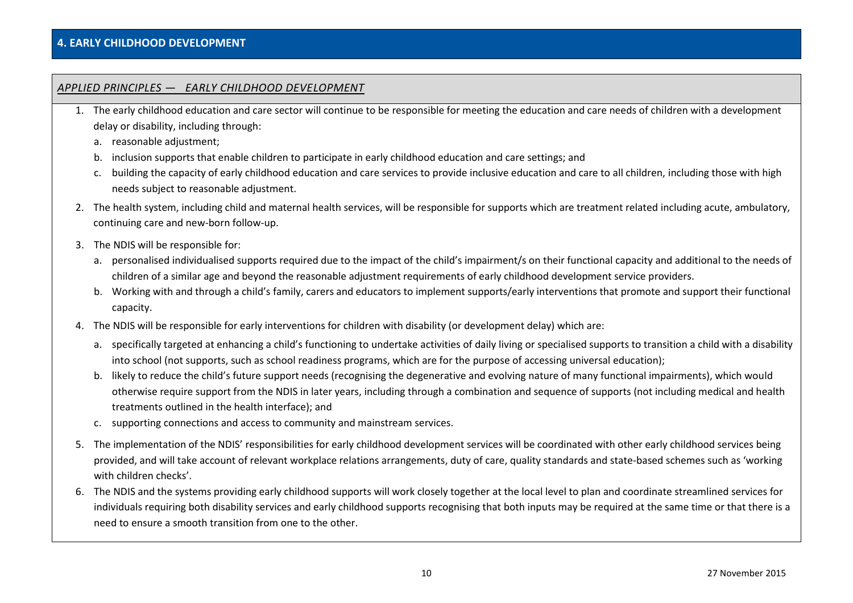### **4. EARLY CHILDHOOD DEVELOPMENT**

#### *APPLIED PRINCIPLES — EARLY CHILDHOOD DEVELOPMENT*

- 1. The early childhood education and care sector will continue to be responsible for meeting the education and care needs of children with a development delay or disability, including through:
	- a. reasonable adjustment;
	- b. inclusion supports that enable children to participate in early childhood education and care settings; and
	- c. building the capacity of early childhood education and care services to provide inclusive education and care to all children, including those with high needs subject to reasonable adjustment.
- 2. The health system, including child and maternal health services, will be responsible for supports which are treatment related including acute, ambulatory, continuing care and new-born follow-up.
- 3. The NDIS will be responsible for:
	- a. personalised individualised supports required due to the impact of the child's impairment/s on their functional capacity and additional to the needs of children of a similar age and beyond the reasonable adjustment requirements of early childhood development service providers.
	- b. Working with and through a child's family, carers and educators to implement supports/early interventions that promote and support their functional capacity.
- 4. The NDIS will be responsible for early interventions for children with disability (or development delay) which are:
	- a. specifically targeted at enhancing a child's functioning to undertake activities of daily living or specialised supports to transition a child with a disability into school (not supports, such as school readiness programs, which are for the purpose of accessing universal education);
	- b. likely to reduce the child's future support needs (recognising the degenerative and evolving nature of many functional impairments), which would otherwise require support from the NDIS in later years, including through a combination and sequence of supports (not including medical and health treatments outlined in the health interface); and
	- c. supporting connections and access to community and mainstream services.
- 5. The implementation of the NDIS' responsibilities for early childhood development services will be coordinated with other early childhood services being provided, and will take account of relevant workplace relations arrangements, duty of care, quality standards and state-based schemes such as 'working with children checks'.
- 6. The NDIS and the systems providing early childhood supports will work closely together at the local level to plan and coordinate streamlined services for individuals requiring both disability services and early childhood supports recognising that both inputs may be required at the same time or that there is a need to ensure a smooth transition from one to the other.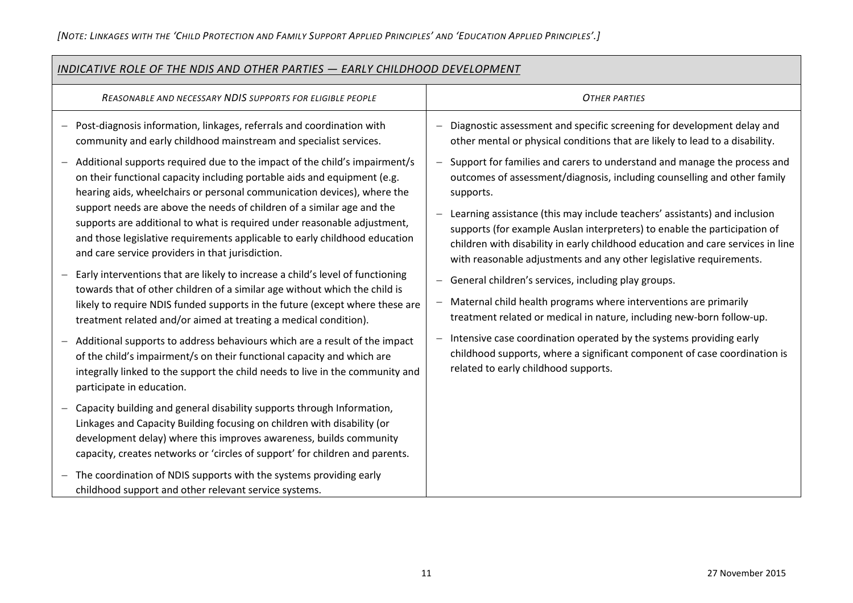| INDICATIVE ROLE OF THE NDIS AND OTHER PARTIES - EARLY CHILDHOOD DEVELOPMENT                                                                                                                                                                                                                                      |                                                                                                                                                                                                                                                                                                                  |  |
|------------------------------------------------------------------------------------------------------------------------------------------------------------------------------------------------------------------------------------------------------------------------------------------------------------------|------------------------------------------------------------------------------------------------------------------------------------------------------------------------------------------------------------------------------------------------------------------------------------------------------------------|--|
| REASONABLE AND NECESSARY NDIS SUPPORTS FOR ELIGIBLE PEOPLE                                                                                                                                                                                                                                                       | <b>OTHER PARTIES</b>                                                                                                                                                                                                                                                                                             |  |
| Post-diagnosis information, linkages, referrals and coordination with<br>community and early childhood mainstream and specialist services.                                                                                                                                                                       | Diagnostic assessment and specific screening for development delay and<br>other mental or physical conditions that are likely to lead to a disability.                                                                                                                                                           |  |
| Additional supports required due to the impact of the child's impairment/s<br>on their functional capacity including portable aids and equipment (e.g.<br>hearing aids, wheelchairs or personal communication devices), where the                                                                                | Support for families and carers to understand and manage the process and<br>$\overline{\phantom{m}}$<br>outcomes of assessment/diagnosis, including counselling and other family<br>supports.                                                                                                                    |  |
| support needs are above the needs of children of a similar age and the<br>supports are additional to what is required under reasonable adjustment,<br>and those legislative requirements applicable to early childhood education<br>and care service providers in that jurisdiction.                             | Learning assistance (this may include teachers' assistants) and inclusion<br>supports (for example Auslan interpreters) to enable the participation of<br>children with disability in early childhood education and care services in line<br>with reasonable adjustments and any other legislative requirements. |  |
| Early interventions that are likely to increase a child's level of functioning<br>towards that of other children of a similar age without which the child is<br>likely to require NDIS funded supports in the future (except where these are<br>treatment related and/or aimed at treating a medical condition). | - General children's services, including play groups.<br>Maternal child health programs where interventions are primarily<br>treatment related or medical in nature, including new-born follow-up.                                                                                                               |  |
| Additional supports to address behaviours which are a result of the impact<br>of the child's impairment/s on their functional capacity and which are<br>integrally linked to the support the child needs to live in the community and<br>participate in education.                                               | Intensive case coordination operated by the systems providing early<br>$\overline{\phantom{m}}$<br>childhood supports, where a significant component of case coordination is<br>related to early childhood supports.                                                                                             |  |
| Capacity building and general disability supports through Information,<br>Linkages and Capacity Building focusing on children with disability (or<br>development delay) where this improves awareness, builds community<br>capacity, creates networks or 'circles of support' for children and parents.          |                                                                                                                                                                                                                                                                                                                  |  |
| The coordination of NDIS supports with the systems providing early<br>childhood support and other relevant service systems.                                                                                                                                                                                      |                                                                                                                                                                                                                                                                                                                  |  |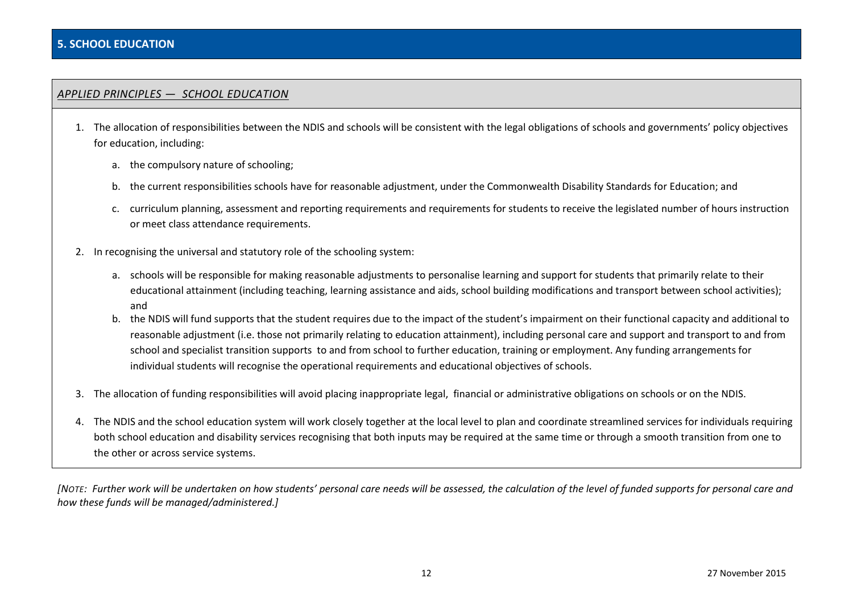## *APPLIED PRINCIPLES — SCHOOL EDUCATION*

- 1. The allocation of responsibilities between the NDIS and schools will be consistent with the legal obligations of schools and governments' policy objectives for education, including:
	- a. the compulsory nature of schooling;
	- b. the current responsibilities schools have for reasonable adjustment, under the Commonwealth Disability Standards for Education; and
	- c. curriculum planning, assessment and reporting requirements and requirements for students to receive the legislated number of hours instruction or meet class attendance requirements.
- 2. In recognising the universal and statutory role of the schooling system:
	- a. schools will be responsible for making reasonable adjustments to personalise learning and support for students that primarily relate to their educational attainment (including teaching, learning assistance and aids, school building modifications and transport between school activities); and
	- b. the NDIS will fund supports that the student requires due to the impact of the student's impairment on their functional capacity and additional to reasonable adjustment (i.e. those not primarily relating to education attainment), including personal care and support and transport to and from school and specialist transition supports to and from school to further education, training or employment. Any funding arrangements for individual students will recognise the operational requirements and educational objectives of schools.
- 3. The allocation of funding responsibilities will avoid placing inappropriate legal, financial or administrative obligations on schools or on the NDIS.
- 4. The NDIS and the school education system will work closely together at the local level to plan and coordinate streamlined services for individuals requiring both school education and disability services recognising that both inputs may be required at the same time or through a smooth transition from one to the other or across service systems.

*[NOTE: Further work will be undertaken on how students' personal care needs will be assessed, the calculation of the level of funded supports for personal care and how these funds will be managed/administered.]*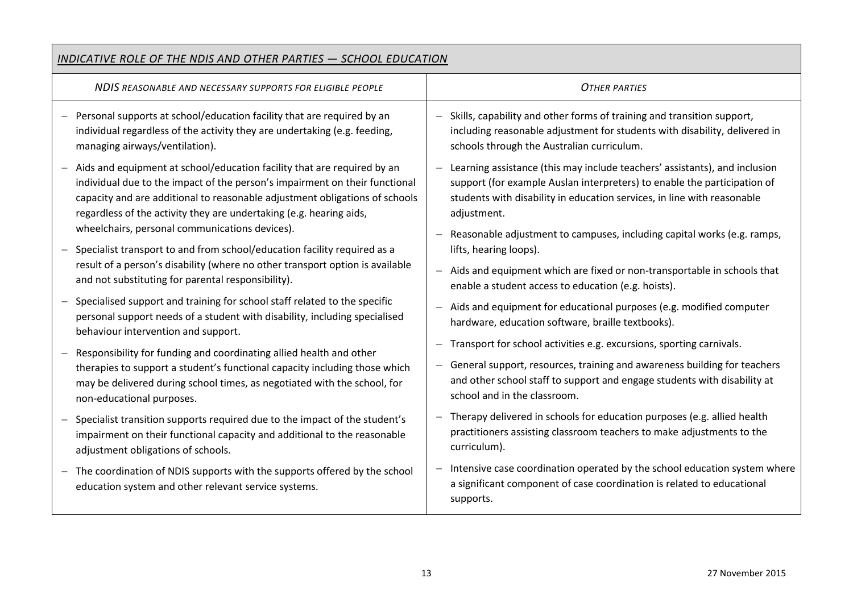| <b>INDICATIVE ROLE OF THE NDIS AND OTHER PARTIES - SCHOOL EDUCATION</b>                                                                                                                                                                                                                                                                                                                    |                                                                                                                                                                                                                                                                                                                             |  |
|--------------------------------------------------------------------------------------------------------------------------------------------------------------------------------------------------------------------------------------------------------------------------------------------------------------------------------------------------------------------------------------------|-----------------------------------------------------------------------------------------------------------------------------------------------------------------------------------------------------------------------------------------------------------------------------------------------------------------------------|--|
| NDIS REASONABLE AND NECESSARY SUPPORTS FOR ELIGIBLE PEOPLE                                                                                                                                                                                                                                                                                                                                 | <b>OTHER PARTIES</b>                                                                                                                                                                                                                                                                                                        |  |
| Personal supports at school/education facility that are required by an                                                                                                                                                                                                                                                                                                                     | - Skills, capability and other forms of training and transition support,                                                                                                                                                                                                                                                    |  |
| individual regardless of the activity they are undertaking (e.g. feeding,                                                                                                                                                                                                                                                                                                                  | including reasonable adjustment for students with disability, delivered in                                                                                                                                                                                                                                                  |  |
| managing airways/ventilation).                                                                                                                                                                                                                                                                                                                                                             | schools through the Australian curriculum.                                                                                                                                                                                                                                                                                  |  |
| Aids and equipment at school/education facility that are required by an<br>$\overline{\phantom{m}}$<br>individual due to the impact of the person's impairment on their functional<br>capacity and are additional to reasonable adjustment obligations of schools<br>regardless of the activity they are undertaking (e.g. hearing aids,<br>wheelchairs, personal communications devices). | Learning assistance (this may include teachers' assistants), and inclusion<br>support (for example Auslan interpreters) to enable the participation of<br>students with disability in education services, in line with reasonable<br>adjustment.<br>Reasonable adjustment to campuses, including capital works (e.g. ramps, |  |
| Specialist transport to and from school/education facility required as a                                                                                                                                                                                                                                                                                                                   | lifts, hearing loops).                                                                                                                                                                                                                                                                                                      |  |
| result of a person's disability (where no other transport option is available                                                                                                                                                                                                                                                                                                              | - Aids and equipment which are fixed or non-transportable in schools that                                                                                                                                                                                                                                                   |  |
| and not substituting for parental responsibility).                                                                                                                                                                                                                                                                                                                                         | enable a student access to education (e.g. hoists).                                                                                                                                                                                                                                                                         |  |
| Specialised support and training for school staff related to the specific<br>personal support needs of a student with disability, including specialised<br>behaviour intervention and support.                                                                                                                                                                                             | Aids and equipment for educational purposes (e.g. modified computer<br>hardware, education software, braille textbooks).                                                                                                                                                                                                    |  |
| Responsibility for funding and coordinating allied health and other                                                                                                                                                                                                                                                                                                                        | Transport for school activities e.g. excursions, sporting carnivals.                                                                                                                                                                                                                                                        |  |
| therapies to support a student's functional capacity including those which                                                                                                                                                                                                                                                                                                                 | - General support, resources, training and awareness building for teachers                                                                                                                                                                                                                                                  |  |
| may be delivered during school times, as negotiated with the school, for                                                                                                                                                                                                                                                                                                                   | and other school staff to support and engage students with disability at                                                                                                                                                                                                                                                    |  |
| non-educational purposes.                                                                                                                                                                                                                                                                                                                                                                  | school and in the classroom.                                                                                                                                                                                                                                                                                                |  |
| Specialist transition supports required due to the impact of the student's                                                                                                                                                                                                                                                                                                                 | Therapy delivered in schools for education purposes (e.g. allied health                                                                                                                                                                                                                                                     |  |
| impairment on their functional capacity and additional to the reasonable                                                                                                                                                                                                                                                                                                                   | practitioners assisting classroom teachers to make adjustments to the                                                                                                                                                                                                                                                       |  |
| adjustment obligations of schools.                                                                                                                                                                                                                                                                                                                                                         | curriculum).                                                                                                                                                                                                                                                                                                                |  |
| The coordination of NDIS supports with the supports offered by the school                                                                                                                                                                                                                                                                                                                  | Intensive case coordination operated by the school education system where                                                                                                                                                                                                                                                   |  |
| $\overline{\phantom{m}}$                                                                                                                                                                                                                                                                                                                                                                   | a significant component of case coordination is related to educational                                                                                                                                                                                                                                                      |  |
| education system and other relevant service systems.                                                                                                                                                                                                                                                                                                                                       | supports.                                                                                                                                                                                                                                                                                                                   |  |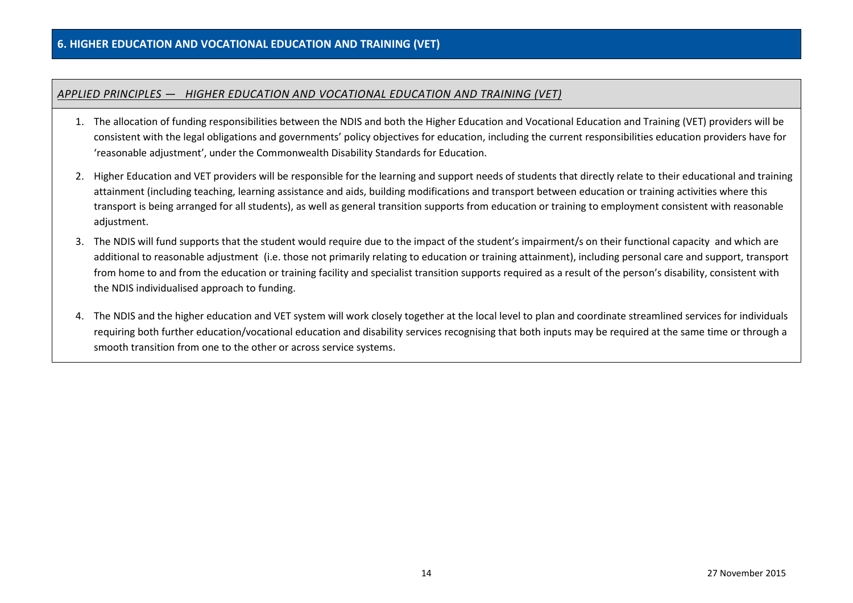## *APPLIED PRINCIPLES — HIGHER EDUCATION AND VOCATIONAL EDUCATION AND TRAINING (VET)*

- 1. The allocation of funding responsibilities between the NDIS and both the Higher Education and Vocational Education and Training (VET) providers will be consistent with the legal obligations and governments' policy objectives for education, including the current responsibilities education providers have for 'reasonable adjustment', under the Commonwealth Disability Standards for Education.
- 2. Higher Education and VET providers will be responsible for the learning and support needs of students that directly relate to their educational and training attainment (including teaching, learning assistance and aids, building modifications and transport between education or training activities where this transport is being arranged for all students), as well as general transition supports from education or training to employment consistent with reasonable adjustment.
- 3. The NDIS will fund supports that the student would require due to the impact of the student's impairment/s on their functional capacity and which are additional to reasonable adjustment (i.e. those not primarily relating to education or training attainment), including personal care and support, transport from home to and from the education or training facility and specialist transition supports required as a result of the person's disability, consistent with the NDIS individualised approach to funding.
- 4. The NDIS and the higher education and VET system will work closely together at the local level to plan and coordinate streamlined services for individuals requiring both further education/vocational education and disability services recognising that both inputs may be required at the same time or through a smooth transition from one to the other or across service systems.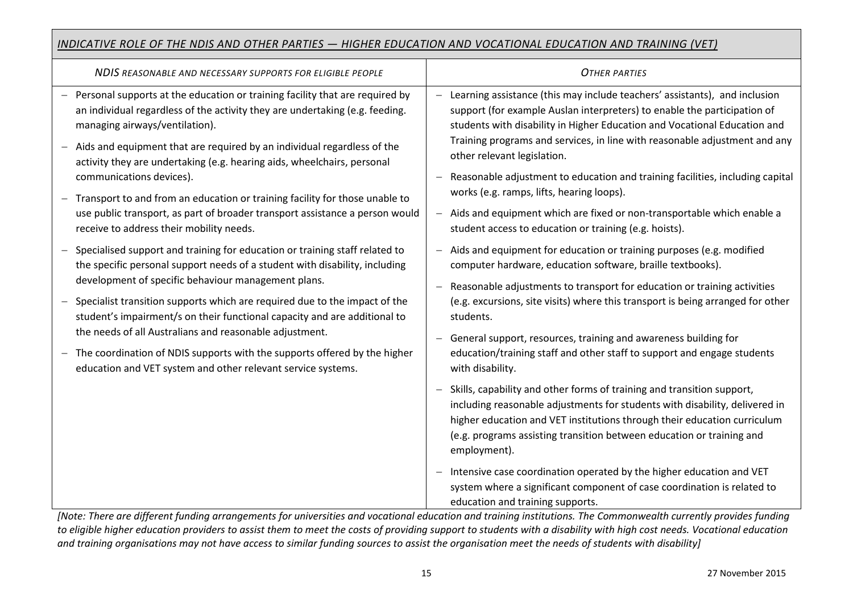# *INDICATIVE ROLE OF THE NDIS AND OTHER PARTIES — HIGHER EDUCATION AND VOCATIONAL EDUCATION AND TRAINING (VET)*

| NDIS REASONABLE AND NECESSARY SUPPORTS FOR ELIGIBLE PEOPLE                                                                                                                                                                                                                                                                                                                                                                                                                                                                                                                                                                  | <b>OTHER PARTIES</b>                                                                                                                                                                                                                                                                                                                                                                                                                                                                                                                                                                                               |
|-----------------------------------------------------------------------------------------------------------------------------------------------------------------------------------------------------------------------------------------------------------------------------------------------------------------------------------------------------------------------------------------------------------------------------------------------------------------------------------------------------------------------------------------------------------------------------------------------------------------------------|--------------------------------------------------------------------------------------------------------------------------------------------------------------------------------------------------------------------------------------------------------------------------------------------------------------------------------------------------------------------------------------------------------------------------------------------------------------------------------------------------------------------------------------------------------------------------------------------------------------------|
| - Personal supports at the education or training facility that are required by<br>an individual regardless of the activity they are undertaking (e.g. feeding.<br>managing airways/ventilation).<br>- Aids and equipment that are required by an individual regardless of the<br>activity they are undertaking (e.g. hearing aids, wheelchairs, personal<br>communications devices).<br>Transport to and from an education or training facility for those unable to<br>$\overline{\phantom{m}}$<br>use public transport, as part of broader transport assistance a person would<br>receive to address their mobility needs. | Learning assistance (this may include teachers' assistants), and inclusion<br>support (for example Auslan interpreters) to enable the participation of<br>students with disability in Higher Education and Vocational Education and<br>Training programs and services, in line with reasonable adjustment and any<br>other relevant legislation.<br>Reasonable adjustment to education and training facilities, including capital<br>works (e.g. ramps, lifts, hearing loops).<br>Aids and equipment which are fixed or non-transportable which enable a<br>student access to education or training (e.g. hoists). |
| Specialised support and training for education or training staff related to<br>the specific personal support needs of a student with disability, including<br>development of specific behaviour management plans.<br>Specialist transition supports which are required due to the impact of the<br>student's impairment/s on their functional capacity and are additional to<br>the needs of all Australians and reasonable adjustment.<br>The coordination of NDIS supports with the supports offered by the higher<br>$\overline{\phantom{0}}$<br>education and VET system and other relevant service systems.            | Aids and equipment for education or training purposes (e.g. modified<br>computer hardware, education software, braille textbooks).<br>Reasonable adjustments to transport for education or training activities<br>$\overline{\phantom{0}}$<br>(e.g. excursions, site visits) where this transport is being arranged for other<br>students.<br>General support, resources, training and awareness building for<br>education/training staff and other staff to support and engage students<br>with disability.                                                                                                       |
|                                                                                                                                                                                                                                                                                                                                                                                                                                                                                                                                                                                                                             | Skills, capability and other forms of training and transition support,<br>including reasonable adjustments for students with disability, delivered in<br>higher education and VET institutions through their education curriculum<br>(e.g. programs assisting transition between education or training and<br>employment).<br>Intensive case coordination operated by the higher education and VET<br>system where a significant component of case coordination is related to<br>education and training supports.                                                                                                  |

*[Note: There are different funding arrangements for universities and vocational education and training institutions. The Commonwealth currently provides funding to eligible higher education providers to assist them to meet the costs of providing support to students with a disability with high cost needs. Vocational education and training organisations may not have access to similar funding sources to assist the organisation meet the needs of students with disability]*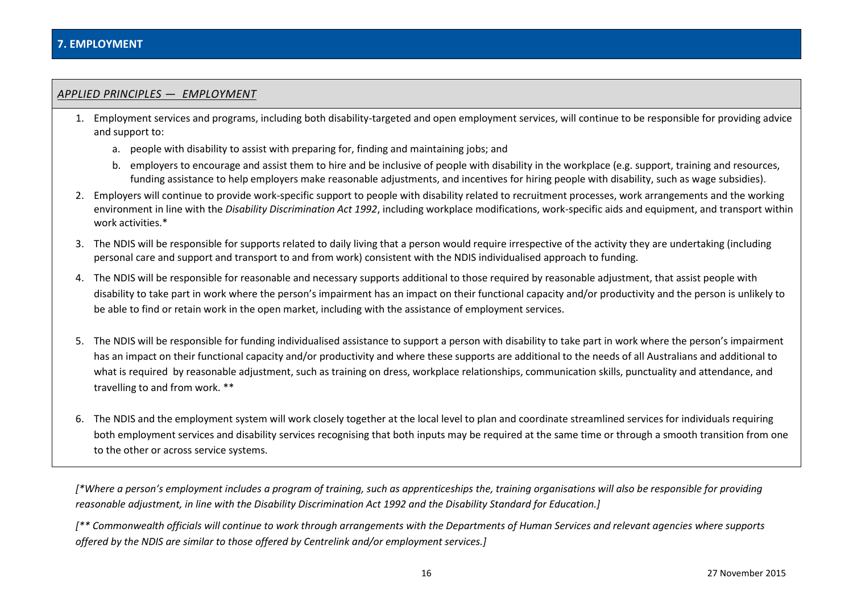#### *APPLIED PRINCIPLES — EMPLOYMENT*

- 1. Employment services and programs, including both disability-targeted and open employment services, will continue to be responsible for providing advice and support to:
	- a. people with disability to assist with preparing for, finding and maintaining jobs; and
	- b. employers to encourage and assist them to hire and be inclusive of people with disability in the workplace (e.g. support, training and resources, funding assistance to help employers make reasonable adjustments, and incentives for hiring people with disability, such as wage subsidies).
- 2. Employers will continue to provide work-specific support to people with disability related to recruitment processes, work arrangements and the working environment in line with the *Disability Discrimination Act 1992*, including workplace modifications, work-specific aids and equipment, and transport within work activities.\*
- 3. The NDIS will be responsible for supports related to daily living that a person would require irrespective of the activity they are undertaking (including personal care and support and transport to and from work) consistent with the NDIS individualised approach to funding.
- 4. The NDIS will be responsible for reasonable and necessary supports additional to those required by reasonable adjustment, that assist people with disability to take part in work where the person's impairment has an impact on their functional capacity and/or productivity and the person is unlikely to be able to find or retain work in the open market, including with the assistance of employment services.
- 5. The NDIS will be responsible for funding individualised assistance to support a person with disability to take part in work where the person's impairment has an impact on their functional capacity and/or productivity and where these supports are additional to the needs of all Australians and additional to what is required by reasonable adjustment, such as training on dress, workplace relationships, communication skills, punctuality and attendance, and travelling to and from work. \*\*
- 6. The NDIS and the employment system will work closely together at the local level to plan and coordinate streamlined services for individuals requiring both employment services and disability services recognising that both inputs may be required at the same time or through a smooth transition from one to the other or across service systems.

*[\*Where a person's employment includes a program of training, such as apprenticeships the, training organisations will also be responsible for providing reasonable adjustment, in line with the Disability Discrimination Act 1992 and the Disability Standard for Education.]*

*[\*\* Commonwealth officials will continue to work through arrangements with the Departments of Human Services and relevant agencies where supports offered by the NDIS are similar to those offered by Centrelink and/or employment services.]*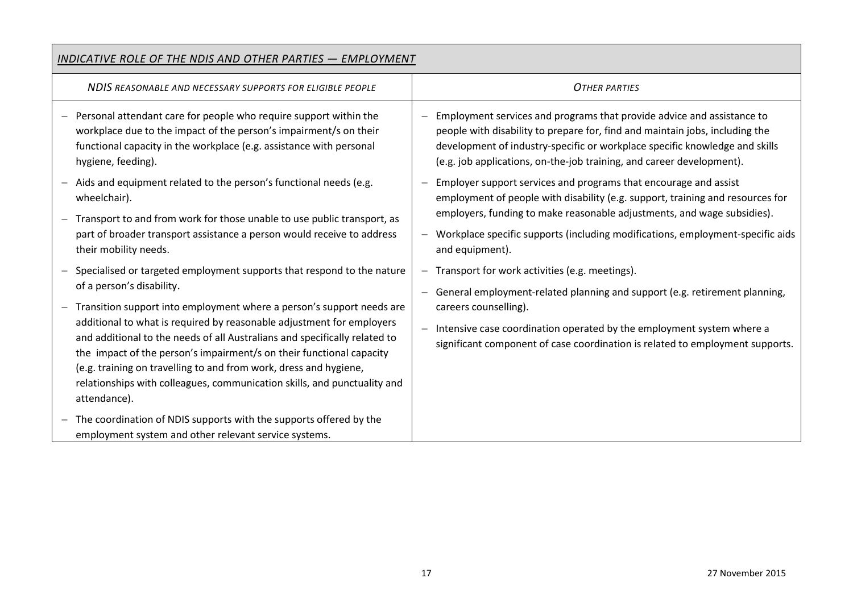| INDICATIVE ROLE OF THE NDIS AND OTHER PARTIES - EMPLOYMENT                                                                                                                                                                                                                                                                                                                                                                                                            |                                                                                                                                                                                                             |  |
|-----------------------------------------------------------------------------------------------------------------------------------------------------------------------------------------------------------------------------------------------------------------------------------------------------------------------------------------------------------------------------------------------------------------------------------------------------------------------|-------------------------------------------------------------------------------------------------------------------------------------------------------------------------------------------------------------|--|
| NDIS REASONABLE AND NECESSARY SUPPORTS FOR ELIGIBLE PEOPLE                                                                                                                                                                                                                                                                                                                                                                                                            | <b>OTHER PARTIES</b>                                                                                                                                                                                        |  |
| Personal attendant care for people who require support within the                                                                                                                                                                                                                                                                                                                                                                                                     | Employment services and programs that provide advice and assistance to                                                                                                                                      |  |
| workplace due to the impact of the person's impairment/s on their                                                                                                                                                                                                                                                                                                                                                                                                     | people with disability to prepare for, find and maintain jobs, including the                                                                                                                                |  |
| functional capacity in the workplace (e.g. assistance with personal                                                                                                                                                                                                                                                                                                                                                                                                   | development of industry-specific or workplace specific knowledge and skills                                                                                                                                 |  |
| hygiene, feeding).                                                                                                                                                                                                                                                                                                                                                                                                                                                    | (e.g. job applications, on-the-job training, and career development).                                                                                                                                       |  |
| Aids and equipment related to the person's functional needs (e.g.                                                                                                                                                                                                                                                                                                                                                                                                     | Employer support services and programs that encourage and assist                                                                                                                                            |  |
| wheelchair).                                                                                                                                                                                                                                                                                                                                                                                                                                                          | employment of people with disability (e.g. support, training and resources for                                                                                                                              |  |
| Transport to and from work for those unable to use public transport, as                                                                                                                                                                                                                                                                                                                                                                                               | employers, funding to make reasonable adjustments, and wage subsidies).                                                                                                                                     |  |
| part of broader transport assistance a person would receive to address                                                                                                                                                                                                                                                                                                                                                                                                | Workplace specific supports (including modifications, employment-specific aids                                                                                                                              |  |
| their mobility needs.                                                                                                                                                                                                                                                                                                                                                                                                                                                 | and equipment).                                                                                                                                                                                             |  |
| Specialised or targeted employment supports that respond to the nature                                                                                                                                                                                                                                                                                                                                                                                                | - Transport for work activities (e.g. meetings).                                                                                                                                                            |  |
| of a person's disability.                                                                                                                                                                                                                                                                                                                                                                                                                                             | - General employment-related planning and support (e.g. retirement planning,                                                                                                                                |  |
| Transition support into employment where a person's support needs are<br>additional to what is required by reasonable adjustment for employers<br>and additional to the needs of all Australians and specifically related to<br>the impact of the person's impairment/s on their functional capacity<br>(e.g. training on travelling to and from work, dress and hygiene,<br>relationships with colleagues, communication skills, and punctuality and<br>attendance). | careers counselling).<br>Intensive case coordination operated by the employment system where a<br>$\overline{\phantom{m}}$<br>significant component of case coordination is related to employment supports. |  |
| The coordination of NDIS supports with the supports offered by the<br>$\overline{\phantom{m}}$<br>employment system and other relevant service systems.                                                                                                                                                                                                                                                                                                               |                                                                                                                                                                                                             |  |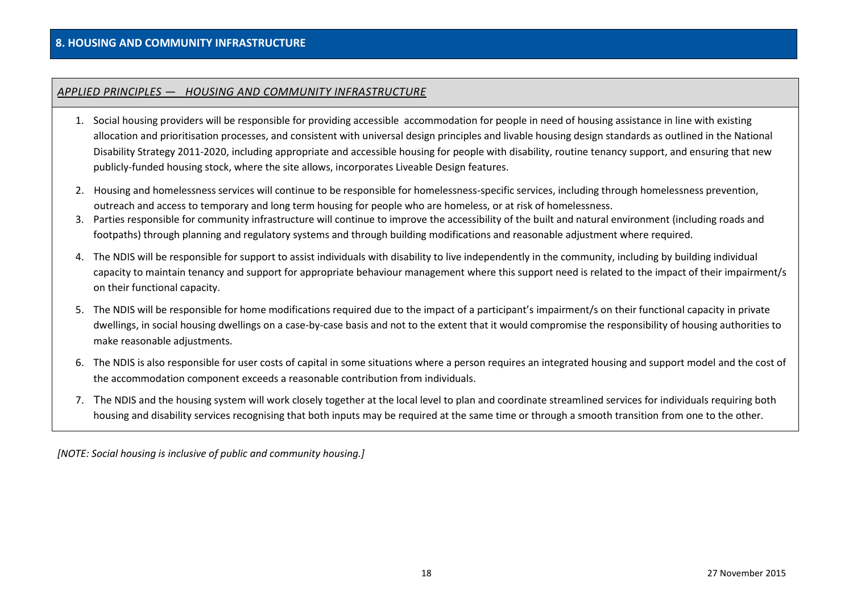#### *APPLIED PRINCIPLES — HOUSING AND COMMUNITY INFRASTRUCTURE*

- 1. Social housing providers will be responsible for providing accessible accommodation for people in need of housing assistance in line with existing allocation and prioritisation processes, and consistent with universal design principles and livable housing design standards as outlined in the National Disability Strategy 2011-2020, including appropriate and accessible housing for people with disability, routine tenancy support, and ensuring that new publicly-funded housing stock, where the site allows, incorporates Liveable Design features.
- 2. Housing and homelessness services will continue to be responsible for homelessness-specific services, including through homelessness prevention, outreach and access to temporary and long term housing for people who are homeless, or at risk of homelessness.
- 3. Parties responsible for community infrastructure will continue to improve the accessibility of the built and natural environment (including roads and footpaths) through planning and regulatory systems and through building modifications and reasonable adjustment where required.
- 4. The NDIS will be responsible for support to assist individuals with disability to live independently in the community, including by building individual capacity to maintain tenancy and support for appropriate behaviour management where this support need is related to the impact of their impairment/s on their functional capacity.
- 5. The NDIS will be responsible for home modifications required due to the impact of a participant's impairment/s on their functional capacity in private dwellings, in social housing dwellings on a case-by-case basis and not to the extent that it would compromise the responsibility of housing authorities to make reasonable adjustments.
- 6. The NDIS is also responsible for user costs of capital in some situations where a person requires an integrated housing and support model and the cost of the accommodation component exceeds a reasonable contribution from individuals.
- 7. The NDIS and the housing system will work closely together at the local level to plan and coordinate streamlined services for individuals requiring both housing and disability services recognising that both inputs may be required at the same time or through a smooth transition from one to the other.

*[NOTE: Social housing is inclusive of public and community housing.]*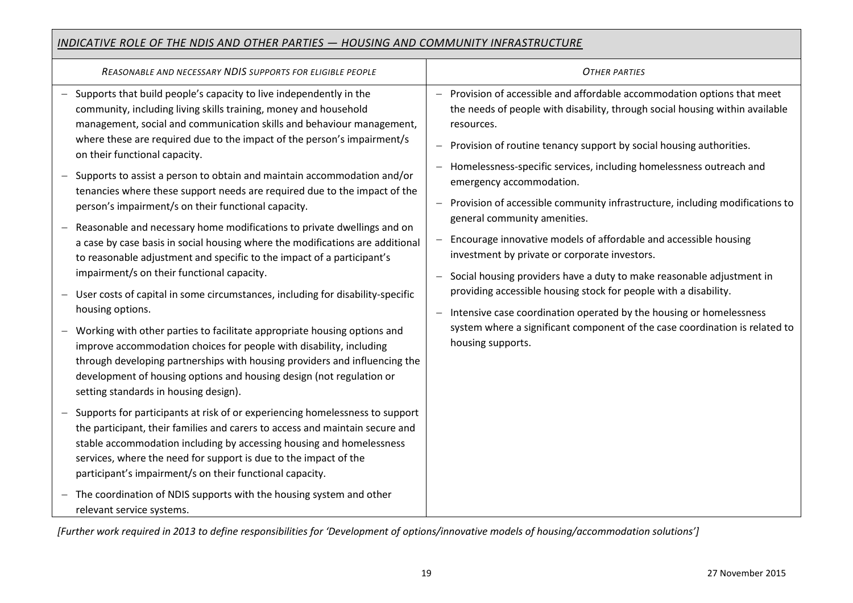## *INDICATIVE ROLE OF THE NDIS AND OTHER PARTIES — HOUSING AND COMMUNITY INFRASTRUCTURE*

| REASONABLE AND NECESSARY NDIS SUPPORTS FOR ELIGIBLE PEOPLE                                                                                                                                                                                                                                                                                                                                                                                                                                                                                                                                                                                                                                                                                                                                                                                                                                                                                                                                                                                                                                                                                                            | <b>OTHER PARTIES</b>                                                                                                                                                                                                                                                                                                                                                                                                                                                                                                                                                                                                                                                                                                                                                                                                                                                                                                                    |
|-----------------------------------------------------------------------------------------------------------------------------------------------------------------------------------------------------------------------------------------------------------------------------------------------------------------------------------------------------------------------------------------------------------------------------------------------------------------------------------------------------------------------------------------------------------------------------------------------------------------------------------------------------------------------------------------------------------------------------------------------------------------------------------------------------------------------------------------------------------------------------------------------------------------------------------------------------------------------------------------------------------------------------------------------------------------------------------------------------------------------------------------------------------------------|-----------------------------------------------------------------------------------------------------------------------------------------------------------------------------------------------------------------------------------------------------------------------------------------------------------------------------------------------------------------------------------------------------------------------------------------------------------------------------------------------------------------------------------------------------------------------------------------------------------------------------------------------------------------------------------------------------------------------------------------------------------------------------------------------------------------------------------------------------------------------------------------------------------------------------------------|
| Supports that build people's capacity to live independently in the<br>community, including living skills training, money and household<br>management, social and communication skills and behaviour management,<br>where these are required due to the impact of the person's impairment/s<br>on their functional capacity.<br>Supports to assist a person to obtain and maintain accommodation and/or<br>tenancies where these support needs are required due to the impact of the<br>person's impairment/s on their functional capacity.<br>Reasonable and necessary home modifications to private dwellings and on<br>a case by case basis in social housing where the modifications are additional<br>to reasonable adjustment and specific to the impact of a participant's<br>impairment/s on their functional capacity.<br>User costs of capital in some circumstances, including for disability-specific<br>housing options.<br>Working with other parties to facilitate appropriate housing options and<br>improve accommodation choices for people with disability, including<br>through developing partnerships with housing providers and influencing the | Provision of accessible and affordable accommodation options that meet<br>the needs of people with disability, through social housing within available<br>resources.<br>Provision of routine tenancy support by social housing authorities.<br>Homelessness-specific services, including homelessness outreach and<br>emergency accommodation.<br>Provision of accessible community infrastructure, including modifications to<br>general community amenities.<br>Encourage innovative models of affordable and accessible housing<br>investment by private or corporate investors.<br>Social housing providers have a duty to make reasonable adjustment in<br>providing accessible housing stock for people with a disability.<br>Intensive case coordination operated by the housing or homelessness<br>$\overline{\phantom{0}}$<br>system where a significant component of the case coordination is related to<br>housing supports. |
| development of housing options and housing design (not regulation or<br>setting standards in housing design).                                                                                                                                                                                                                                                                                                                                                                                                                                                                                                                                                                                                                                                                                                                                                                                                                                                                                                                                                                                                                                                         |                                                                                                                                                                                                                                                                                                                                                                                                                                                                                                                                                                                                                                                                                                                                                                                                                                                                                                                                         |
| Supports for participants at risk of or experiencing homelessness to support<br>the participant, their families and carers to access and maintain secure and<br>stable accommodation including by accessing housing and homelessness<br>services, where the need for support is due to the impact of the<br>participant's impairment/s on their functional capacity.                                                                                                                                                                                                                                                                                                                                                                                                                                                                                                                                                                                                                                                                                                                                                                                                  |                                                                                                                                                                                                                                                                                                                                                                                                                                                                                                                                                                                                                                                                                                                                                                                                                                                                                                                                         |
| The coordination of NDIS supports with the housing system and other<br>relevant service systems.                                                                                                                                                                                                                                                                                                                                                                                                                                                                                                                                                                                                                                                                                                                                                                                                                                                                                                                                                                                                                                                                      |                                                                                                                                                                                                                                                                                                                                                                                                                                                                                                                                                                                                                                                                                                                                                                                                                                                                                                                                         |

*[Further work required in 2013 to define responsibilities for 'Development of options/innovative models of housing/accommodation solutions']*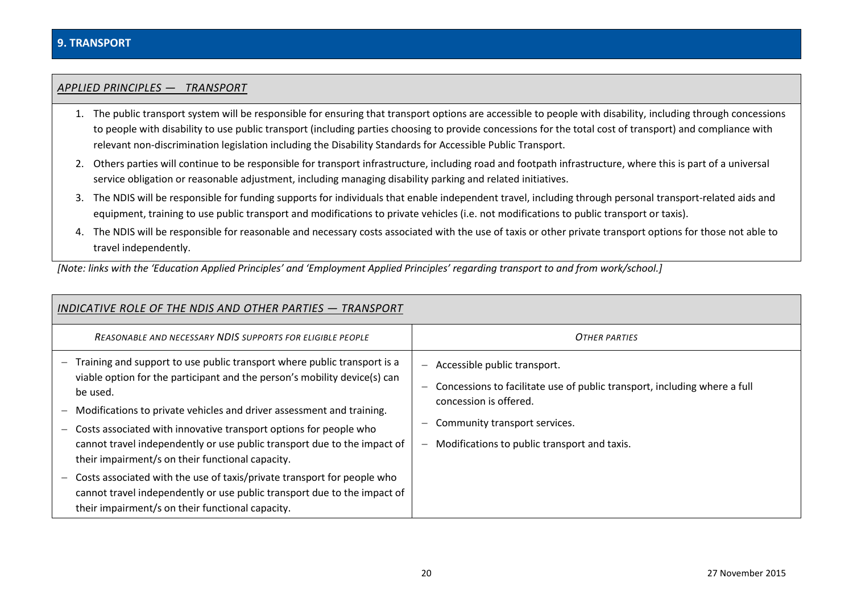#### *APPLIED PRINCIPLES — TRANSPORT*

- 1. The public transport system will be responsible for ensuring that transport options are accessible to people with disability, including through concessions to people with disability to use public transport (including parties choosing to provide concessions for the total cost of transport) and compliance with relevant non-discrimination legislation including the Disability Standards for Accessible Public Transport.
- 2. Others parties will continue to be responsible for transport infrastructure, including road and footpath infrastructure, where this is part of a universal service obligation or reasonable adjustment, including managing disability parking and related initiatives.
- 3. The NDIS will be responsible for funding supports for individuals that enable independent travel, including through personal transport-related aids and equipment, training to use public transport and modifications to private vehicles (i.e. not modifications to public transport or taxis).
- 4. The NDIS will be responsible for reasonable and necessary costs associated with the use of taxis or other private transport options for those not able to travel independently.

*[Note: links with the 'Education Applied Principles' and 'Employment Applied Principles' regarding transport to and from work/school.]*

| INDICATIVE ROLE OF THE NDIS AND OTHER PARTIES - TRANSPORT                                                                                                                                                                                                                                                                                                                                                                                                                                                                                                                                                                                                  |                                                                                                                                                                                                                                                                       |
|------------------------------------------------------------------------------------------------------------------------------------------------------------------------------------------------------------------------------------------------------------------------------------------------------------------------------------------------------------------------------------------------------------------------------------------------------------------------------------------------------------------------------------------------------------------------------------------------------------------------------------------------------------|-----------------------------------------------------------------------------------------------------------------------------------------------------------------------------------------------------------------------------------------------------------------------|
| <b>REASONABLE AND NECESSARY NDIS SUPPORTS FOR ELIGIBLE PEOPLE</b>                                                                                                                                                                                                                                                                                                                                                                                                                                                                                                                                                                                          | <b>OTHER PARTIES</b>                                                                                                                                                                                                                                                  |
| Training and support to use public transport where public transport is a<br>viable option for the participant and the person's mobility device(s) can<br>be used.<br>Modifications to private vehicles and driver assessment and training.<br>Costs associated with innovative transport options for people who<br>cannot travel independently or use public transport due to the impact of<br>their impairment/s on their functional capacity.<br>Costs associated with the use of taxis/private transport for people who<br>cannot travel independently or use public transport due to the impact of<br>their impairment/s on their functional capacity. | Accessible public transport.<br>$\qquad \qquad -$<br>Concessions to facilitate use of public transport, including where a full<br>$\overline{\phantom{m}}$<br>concession is offered.<br>Community transport services.<br>Modifications to public transport and taxis. |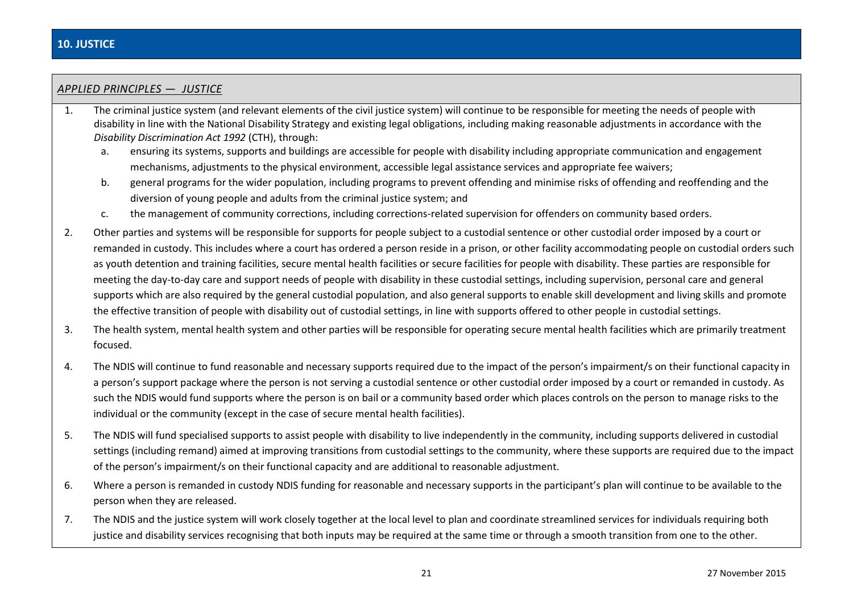# *APPLIED PRINCIPLES — JUSTICE*

- 1. The criminal justice system (and relevant elements of the civil justice system) will continue to be responsible for meeting the needs of people with disability in line with the National Disability Strategy and existing legal obligations, including making reasonable adjustments in accordance with the *Disability Discrimination Act 1992* (CTH), through:
	- a. ensuring its systems, supports and buildings are accessible for people with disability including appropriate communication and engagement mechanisms, adjustments to the physical environment, accessible legal assistance services and appropriate fee waivers;
	- b. general programs for the wider population, including programs to prevent offending and minimise risks of offending and reoffending and the diversion of young people and adults from the criminal justice system; and
	- c. the management of community corrections, including corrections-related supervision for offenders on community based orders.
- 2. Other parties and systems will be responsible for supports for people subject to a custodial sentence or other custodial order imposed by a court or remanded in custody. This includes where a court has ordered a person reside in a prison, or other facility accommodating people on custodial orders such as youth detention and training facilities, secure mental health facilities or secure facilities for people with disability. These parties are responsible for meeting the day-to-day care and support needs of people with disability in these custodial settings, including supervision, personal care and general supports which are also required by the general custodial population, and also general supports to enable skill development and living skills and promote the effective transition of people with disability out of custodial settings, in line with supports offered to other people in custodial settings.
- 3. The health system, mental health system and other parties will be responsible for operating secure mental health facilities which are primarily treatment focused.
- 4. The NDIS will continue to fund reasonable and necessary supports required due to the impact of the person's impairment/s on their functional capacity in a person's support package where the person is not serving a custodial sentence or other custodial order imposed by a court or remanded in custody. As such the NDIS would fund supports where the person is on bail or a community based order which places controls on the person to manage risks to the individual or the community (except in the case of secure mental health facilities).
- 5. The NDIS will fund specialised supports to assist people with disability to live independently in the community, including supports delivered in custodial settings (including remand) aimed at improving transitions from custodial settings to the community, where these supports are required due to the impact of the person's impairment/s on their functional capacity and are additional to reasonable adjustment.
- 6. Where a person is remanded in custody NDIS funding for reasonable and necessary supports in the participant's plan will continue to be available to the person when they are released.
- 7. The NDIS and the justice system will work closely together at the local level to plan and coordinate streamlined services for individuals requiring both justice and disability services recognising that both inputs may be required at the same time or through a smooth transition from one to the other.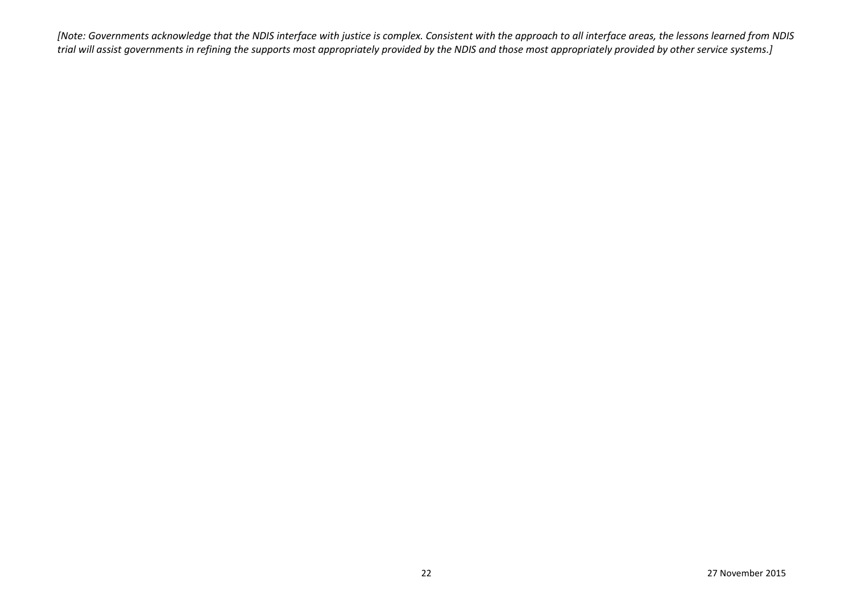*[Note: Governments acknowledge that the NDIS interface with justice is complex. Consistent with the approach to all interface areas, the lessons learned from NDIS trial will assist governments in refining the supports most appropriately provided by the NDIS and those most appropriately provided by other service systems.]*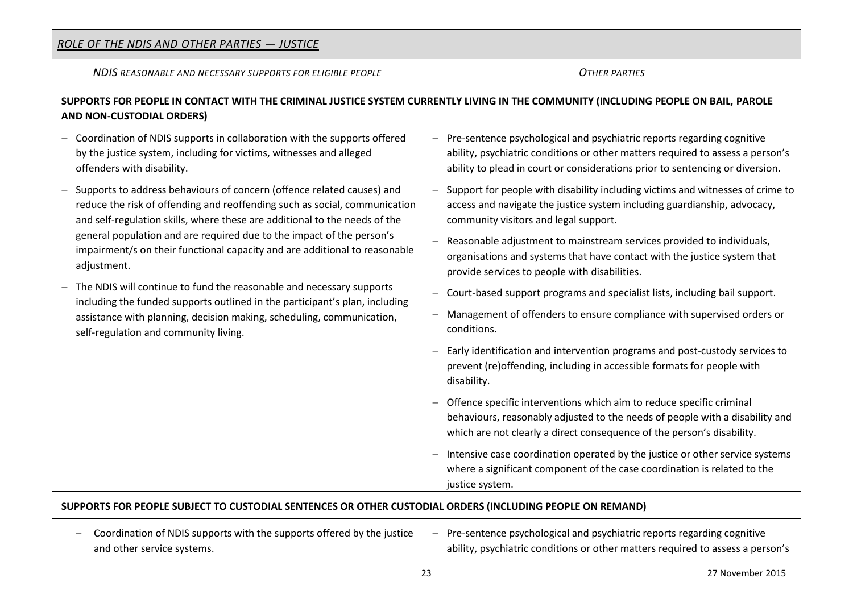| <u>ROLE OF THE NDIS AND OTHER PARTIES - JUSTICE</u>                                                                                                                                                                                                                                                                                                                                                      |                                                                                                                                                                                                                                             |  |
|----------------------------------------------------------------------------------------------------------------------------------------------------------------------------------------------------------------------------------------------------------------------------------------------------------------------------------------------------------------------------------------------------------|---------------------------------------------------------------------------------------------------------------------------------------------------------------------------------------------------------------------------------------------|--|
| NDIS REASONABLE AND NECESSARY SUPPORTS FOR ELIGIBLE PEOPLE                                                                                                                                                                                                                                                                                                                                               | <b>OTHER PARTIES</b>                                                                                                                                                                                                                        |  |
| SUPPORTS FOR PEOPLE IN CONTACT WITH THE CRIMINAL JUSTICE SYSTEM CURRENTLY LIVING IN THE COMMUNITY (INCLUDING PEOPLE ON BAIL, PAROLE<br>AND NON-CUSTODIAL ORDERS)                                                                                                                                                                                                                                         |                                                                                                                                                                                                                                             |  |
| Coordination of NDIS supports in collaboration with the supports offered<br>by the justice system, including for victims, witnesses and alleged<br>offenders with disability.                                                                                                                                                                                                                            | - Pre-sentence psychological and psychiatric reports regarding cognitive<br>ability, psychiatric conditions or other matters required to assess a person's<br>ability to plead in court or considerations prior to sentencing or diversion. |  |
| Supports to address behaviours of concern (offence related causes) and<br>reduce the risk of offending and reoffending such as social, communication<br>and self-regulation skills, where these are additional to the needs of the<br>general population and are required due to the impact of the person's<br>impairment/s on their functional capacity and are additional to reasonable<br>adjustment. | - Support for people with disability including victims and witnesses of crime to<br>access and navigate the justice system including guardianship, advocacy,<br>community visitors and legal support.                                       |  |
|                                                                                                                                                                                                                                                                                                                                                                                                          | Reasonable adjustment to mainstream services provided to individuals,<br>organisations and systems that have contact with the justice system that<br>provide services to people with disabilities.                                          |  |
| The NDIS will continue to fund the reasonable and necessary supports<br>including the funded supports outlined in the participant's plan, including                                                                                                                                                                                                                                                      | - Court-based support programs and specialist lists, including bail support.                                                                                                                                                                |  |
| assistance with planning, decision making, scheduling, communication,<br>self-regulation and community living.                                                                                                                                                                                                                                                                                           | Management of offenders to ensure compliance with supervised orders or<br>conditions.                                                                                                                                                       |  |
|                                                                                                                                                                                                                                                                                                                                                                                                          | Early identification and intervention programs and post-custody services to<br>prevent (re) offending, including in accessible formats for people with<br>disability.                                                                       |  |
|                                                                                                                                                                                                                                                                                                                                                                                                          | - Offence specific interventions which aim to reduce specific criminal<br>behaviours, reasonably adjusted to the needs of people with a disability and<br>which are not clearly a direct consequence of the person's disability.            |  |
|                                                                                                                                                                                                                                                                                                                                                                                                          | - Intensive case coordination operated by the justice or other service systems<br>where a significant component of the case coordination is related to the<br>justice system.                                                               |  |
| SUPPORTS FOR PEOPLE SUBJECT TO CUSTODIAL SENTENCES OR OTHER CUSTODIAL ORDERS (INCLUDING PEOPLE ON REMAND)                                                                                                                                                                                                                                                                                                |                                                                                                                                                                                                                                             |  |
| Coordination of NDIS supports with the supports offered by the justice<br>and other service systems.                                                                                                                                                                                                                                                                                                     | Pre-sentence psychological and psychiatric reports regarding cognitive<br>$-$<br>ability, psychiatric conditions or other matters required to assess a person's                                                                             |  |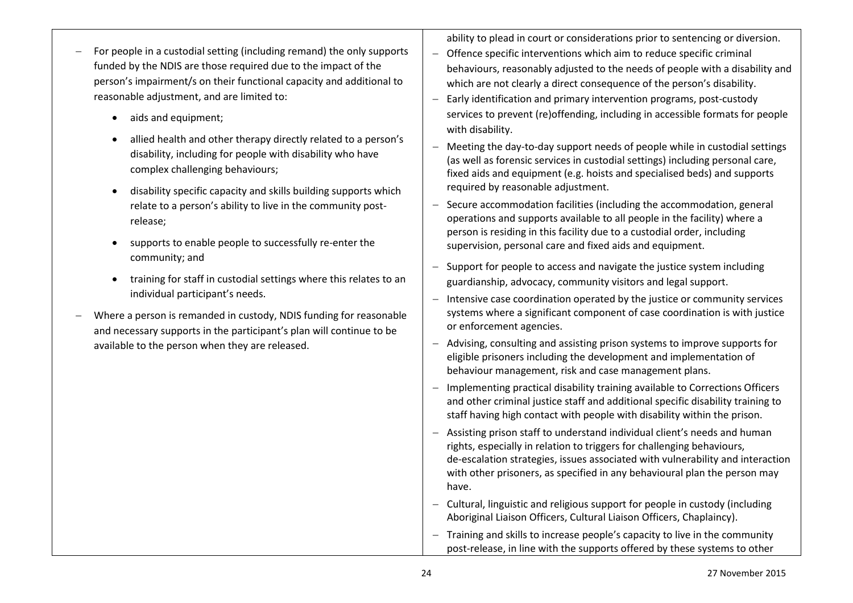| For people in a custodial setting (including remand) the only supports<br>funded by the NDIS are those required due to the impact of the<br>person's impairment/s on their functional capacity and additional to<br>reasonable adjustment, and are limited to:<br>aids and equipment;<br>$\bullet$<br>allied health and other therapy directly related to a person's<br>$\bullet$<br>disability, including for people with disability who have<br>complex challenging behaviours;<br>disability specific capacity and skills building supports which<br>$\bullet$<br>relate to a person's ability to live in the community post-<br>release;<br>supports to enable people to successfully re-enter the<br>community; and<br>training for staff in custodial settings where this relates to an<br>$\bullet$<br>individual participant's needs.<br>Where a person is remanded in custody, NDIS funding for reasonable<br>and necessary supports in the participant's plan will continue to be<br>available to the person when they are released. | ability to plead in court or considerations prior to sentencing or diversion.<br>- Offence specific interventions which aim to reduce specific criminal<br>behaviours, reasonably adjusted to the needs of people with a disability and<br>which are not clearly a direct consequence of the person's disability.<br>Early identification and primary intervention programs, post-custody<br>$\overline{\phantom{m}}$<br>services to prevent (re)offending, including in accessible formats for people |
|------------------------------------------------------------------------------------------------------------------------------------------------------------------------------------------------------------------------------------------------------------------------------------------------------------------------------------------------------------------------------------------------------------------------------------------------------------------------------------------------------------------------------------------------------------------------------------------------------------------------------------------------------------------------------------------------------------------------------------------------------------------------------------------------------------------------------------------------------------------------------------------------------------------------------------------------------------------------------------------------------------------------------------------------|--------------------------------------------------------------------------------------------------------------------------------------------------------------------------------------------------------------------------------------------------------------------------------------------------------------------------------------------------------------------------------------------------------------------------------------------------------------------------------------------------------|
|                                                                                                                                                                                                                                                                                                                                                                                                                                                                                                                                                                                                                                                                                                                                                                                                                                                                                                                                                                                                                                                | with disability.<br>- Meeting the day-to-day support needs of people while in custodial settings<br>(as well as forensic services in custodial settings) including personal care,<br>fixed aids and equipment (e.g. hoists and specialised beds) and supports<br>required by reasonable adjustment.                                                                                                                                                                                                    |
|                                                                                                                                                                                                                                                                                                                                                                                                                                                                                                                                                                                                                                                                                                                                                                                                                                                                                                                                                                                                                                                | - Secure accommodation facilities (including the accommodation, general<br>operations and supports available to all people in the facility) where a<br>person is residing in this facility due to a custodial order, including<br>supervision, personal care and fixed aids and equipment.                                                                                                                                                                                                             |
|                                                                                                                                                                                                                                                                                                                                                                                                                                                                                                                                                                                                                                                                                                                                                                                                                                                                                                                                                                                                                                                | - Support for people to access and navigate the justice system including<br>guardianship, advocacy, community visitors and legal support.<br>- Intensive case coordination operated by the justice or community services<br>systems where a significant component of case coordination is with justice<br>or enforcement agencies.                                                                                                                                                                     |
|                                                                                                                                                                                                                                                                                                                                                                                                                                                                                                                                                                                                                                                                                                                                                                                                                                                                                                                                                                                                                                                | - Advising, consulting and assisting prison systems to improve supports for<br>eligible prisoners including the development and implementation of<br>behaviour management, risk and case management plans.                                                                                                                                                                                                                                                                                             |
|                                                                                                                                                                                                                                                                                                                                                                                                                                                                                                                                                                                                                                                                                                                                                                                                                                                                                                                                                                                                                                                | Implementing practical disability training available to Corrections Officers<br>and other criminal justice staff and additional specific disability training to<br>staff having high contact with people with disability within the prison.                                                                                                                                                                                                                                                            |
|                                                                                                                                                                                                                                                                                                                                                                                                                                                                                                                                                                                                                                                                                                                                                                                                                                                                                                                                                                                                                                                | - Assisting prison staff to understand individual client's needs and human<br>rights, especially in relation to triggers for challenging behaviours,<br>de-escalation strategies, issues associated with vulnerability and interaction<br>with other prisoners, as specified in any behavioural plan the person may<br>have.                                                                                                                                                                           |
|                                                                                                                                                                                                                                                                                                                                                                                                                                                                                                                                                                                                                                                                                                                                                                                                                                                                                                                                                                                                                                                | - Cultural, linguistic and religious support for people in custody (including<br>Aboriginal Liaison Officers, Cultural Liaison Officers, Chaplaincy).                                                                                                                                                                                                                                                                                                                                                  |
|                                                                                                                                                                                                                                                                                                                                                                                                                                                                                                                                                                                                                                                                                                                                                                                                                                                                                                                                                                                                                                                | - Training and skills to increase people's capacity to live in the community<br>post-release, in line with the supports offered by these systems to other                                                                                                                                                                                                                                                                                                                                              |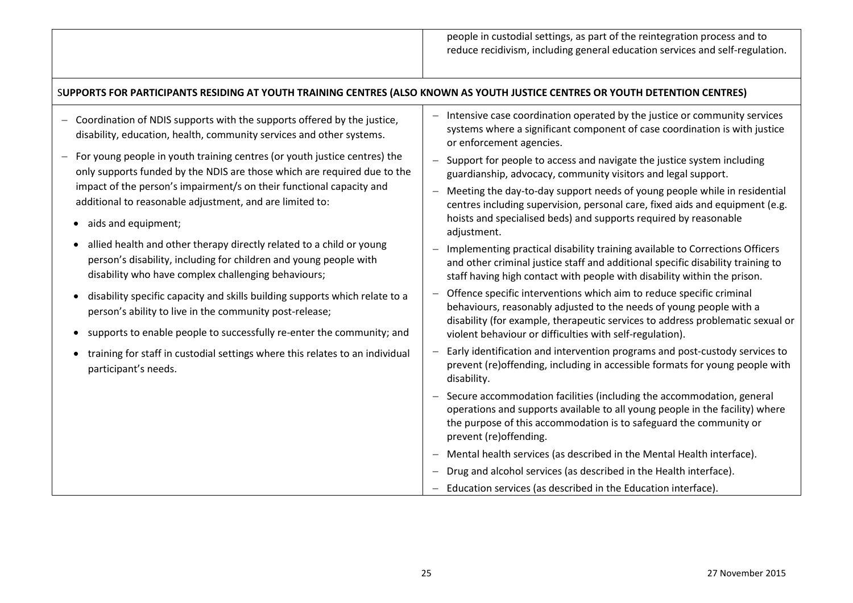# S**UPPORTS FOR PARTICIPANTS RESIDING AT YOUTH TRAINING CENTRES (ALSO KNOWN AS YOUTH JUSTICE CENTRES OR YOUTH DETENTION CENTRES)**

| - Coordination of NDIS supports with the supports offered by the justice, |
|---------------------------------------------------------------------------|
| disability, education, health, community services and other systems.      |

- $-$  For young people in youth training centres (or youth justice centres) the only supports funded by the NDIS are those which are required due to the impact of the person's impairment/s on their functional capacity and additional to reasonable adjustment, and are limited to:
	- aids and equipment;
	- allied health and other therapy directly related to a child or young person's disability, including for children and young people with disability who have complex challenging behaviours;
	- disability specific capacity and skills building supports which relate to a person's ability to live in the community post-release;
	- supports to enable people to successfully re-enter the community; and
	- training for staff in custodial settings where this relates to an individual participant's needs.
- $-I$  Intensive case coordination operated by the justice or community services systems where a significant component of case coordination is with justice or enforcement agencies.
- $-$  Support for people to access and navigate the justice system including guardianship, advocacy, community visitors and legal support.
- Meeting the day-to-day support needs of young people while in residential centres including supervision, personal care, fixed aids and equipment (e.g. hoists and specialised beds) and supports required by reasonable adjustment.
- Implementing practical disability training available to Corrections Officers and other criminal justice staff and additional specific disability training to staff having high contact with people with disability within the prison.
- Offence specific interventions which aim to reduce specific criminal behaviours, reasonably adjusted to the needs of young people with a disability (for example, therapeutic services to address problematic sexual or violent behaviour or difficulties with self-regulation).
- Early identification and intervention programs and post-custody services to prevent (re)offending, including in accessible formats for young people with disability.
- Secure accommodation facilities (including the accommodation, general operations and supports available to all young people in the facility) where the purpose of this accommodation is to safeguard the community or prevent (re)offending.
- Mental health services (as described in the Mental Health interface).
- Drug and alcohol services (as described in the Health interface).
- Education services (as described in the Education interface).